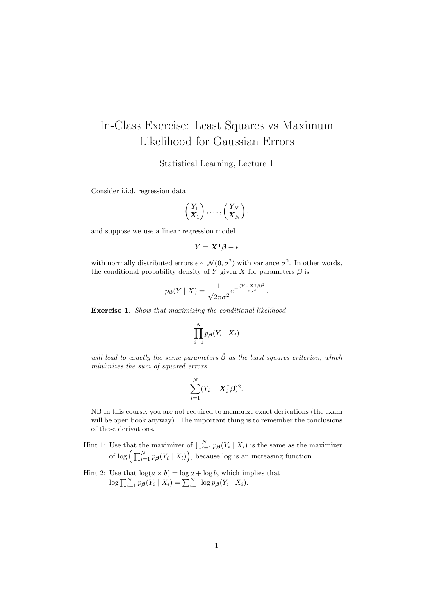## In-Class Exercise: Least Squares vs Maximum Likelihood for Gaussian Errors

Statistical Learning, Lecture 1

Consider i.i.d. regression data

$$
\begin{pmatrix} Y_1 \\ X_1 \end{pmatrix}, \ldots, \begin{pmatrix} Y_N \\ X_N \end{pmatrix},
$$

and suppose we use a linear regression model

$$
Y = \mathbf{X}^\intercal \boldsymbol{\beta} + \epsilon
$$

with normally distributed errors  $\epsilon \sim \mathcal{N}(0, \sigma^2)$  with variance  $\sigma^2$ . In other words, the conditional probability density of Y given X for parameters  $\beta$  is

$$
p_{\beta}(Y \mid X) = \frac{1}{\sqrt{2\pi\sigma^2}} e^{-\frac{(Y - X^{\mathsf{T}}\beta)^2}{2\sigma^2}}.
$$

Exercise 1. Show that maximizing the conditional likelihood

$$
\prod_{i=1}^N p_{\boldsymbol{\beta}}(Y_i \mid X_i)
$$

will lead to exactly the same parameters  $\hat{\beta}$  as the least squares criterion, which minimizes the sum of squared errors

$$
\sum_{i=1}^N (Y_i - \boldsymbol{X}_i^{\sf T} \boldsymbol{\beta})^2.
$$

NB In this course, you are not required to memorize exact derivations (the exam will be open book anyway). The important thing is to remember the conclusions of these derivations.

- Hint 1: Use that the maximizer of  $\prod_{i=1}^{N} p_{\beta}(Y_i | X_i)$  is the same as the maximizer of  $\log \left( \prod_{i=1}^N p_{\boldsymbol{\beta}}(Y_i | X_i) \right)$ , because log is an increasing function.
- Hint 2: Use that  $\log(a \times b) = \log a + \log b$ , which implies that  $\log \prod_{i=1}^{N} p_{\beta}(Y_i | X_i) = \sum_{i=1}^{N} \log p_{\beta}(Y_i | X_i).$